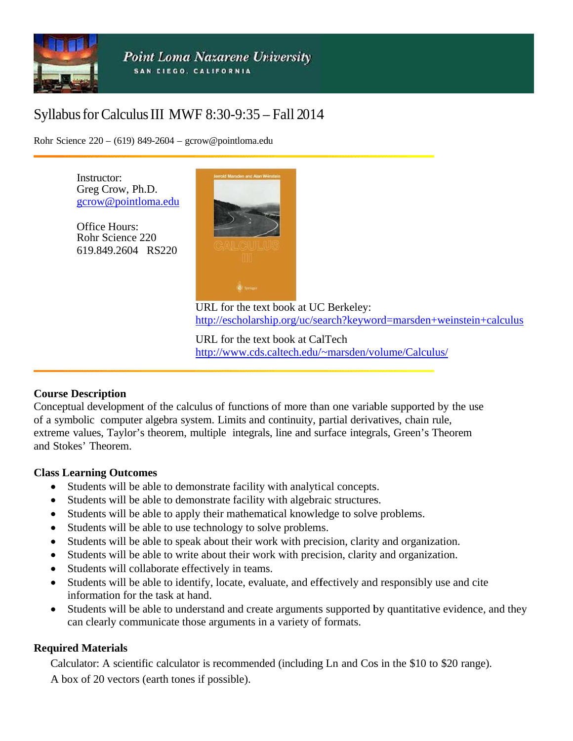

# Syllabus for Calculus III MWF 8:30-9:35 - Fall 2014

Rohr Science  $220 - (619) 849 - 2604 - \text{gcrow@pointloma.edu}$ 

Instructor: Greg Crow, Ph.D. gcrow@pointloma.edu

**Office Hours:** Rohr Science 220 619.849.2604 RS220



URL for the text book at UC Berkeley: http://escholarship.org/uc/search?keyword=marsden+weinstein+calculus

URL for the text book at CalTech http://www.cds.caltech.edu/~marsden/volume/Calculus/

#### **Course Description**

Conceptual development of the calculus of functions of more than one variable supported by the use of a symbolic computer algebra system. Limits and continuity, partial derivatives, chain rule, extreme values, Taylor's theorem, multiple integrals, line and surface integrals, Green's Theorem and Stokes' Theorem.

#### **Class Learning Outcomes**

- Students will be able to demonstrate facility with analytical concepts.
- Students will be able to demonstrate facility with algebraic structures.
- Students will be able to apply their mathematical knowledge to solve problems.  $\bullet$
- Students will be able to use technology to solve problems.
- Students will be able to speak about their work with precision, clarity and organization.  $\bullet$
- Students will be able to write about their work with precision, clarity and organization.
- Students will collaborate effectively in teams.  $\bullet$
- Students will be able to identify, locate, evaluate, and effectively and responsibly use and cite information for the task at hand.
- Students will be able to understand and create arguments supported by quantitative evidence, and they  $\bullet$ can clearly communicate those arguments in a variety of formats.

#### **Required Materials**

Calculator: A scientific calculator is recommended (including Ln and Cos in the \$10 to \$20 range). A box of 20 vectors (earth tones if possible).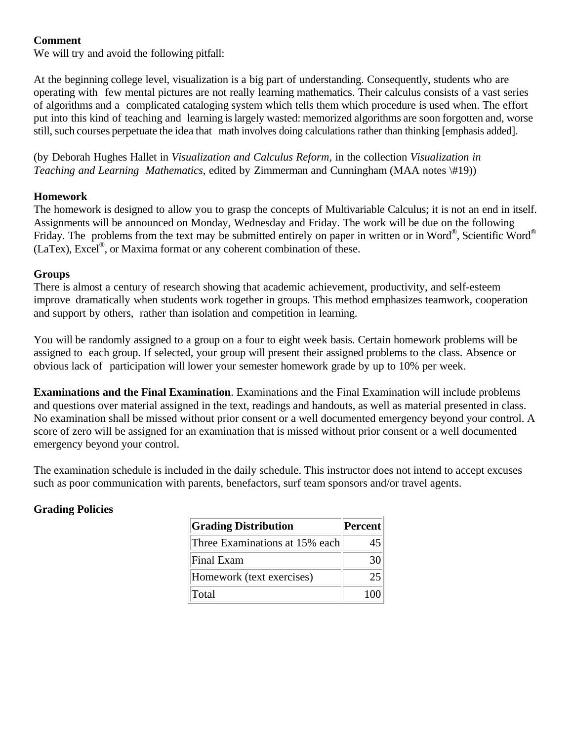#### **Comment**

We will try and avoid the following pitfall:

At the beginning college level, visualization is a big part of understanding. Consequently, students who are operating with few mental pictures are not really learning mathematics. Their calculus consists of a vast series of algorithms and a complicated cataloging system which tells them which procedure is used when. The effort put into this kind of teaching and learning is largely wasted: memorized algorithms are soon forgotten and, worse still, such courses perpetuate the idea that math involves doing calculations rather than thinking [emphasis added].

(by Deborah Hughes Hallet in *Visualization and Calculus Reform,* in the collection *Visualization in Teaching and Learning Mathematics*, edited by Zimmerman and Cunningham (MAA notes \#19))

#### **Homework**

The homework is designed to allow you to grasp the concepts of Multivariable Calculus; it is not an end in itself. Assignments will be announced on Monday, Wednesday and Friday. The work will be due on the following Friday. The problems from the text may be submitted entirely on paper in written or in Word®, Scientific Word®  $(LaText)$ , Excel<sup>®</sup>, or Maxima format or any coherent combination of these.

## **Groups**

There is almost a century of research showing that academic achievement, productivity, and self-esteem improve dramatically when students work together in groups. This method emphasizes teamwork, cooperation and support by others, rather than isolation and competition in learning.

You will be randomly assigned to a group on a four to eight week basis. Certain homework problems will be assigned to each group. If selected, your group will present their assigned problems to the class. Absence or obvious lack of participation will lower your semester homework grade by up to 10% per week.

**Examinations and the Final Examination**. Examinations and the Final Examination will include problems and questions over material assigned in the text, readings and handouts, as well as material presented in class. No examination shall be missed without prior consent or a well documented emergency beyond your control. A score of zero will be assigned for an examination that is missed without prior consent or a well documented emergency beyond your control.

The examination schedule is included in the daily schedule. This instructor does not intend to accept excuses such as poor communication with parents, benefactors, surf team sponsors and/or travel agents.

# **Grading Policies**

| <b>Grading Distribution</b>    | Percent |
|--------------------------------|---------|
| Three Examinations at 15% each |         |
| Final Exam                     |         |
| Homework (text exercises)      | 25      |
| Total                          | 10C     |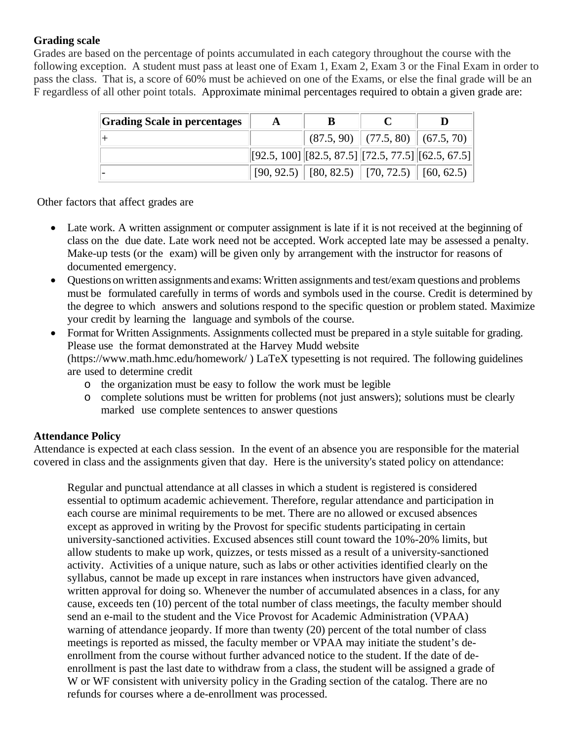#### **Grading scale**

Grades are based on the percentage of points accumulated in each category throughout the course with the following exception. A student must pass at least one of Exam 1, Exam 2, Exam 3 or the Final Exam in order to pass the class. That is, a score of 60% must be achieved on one of the Exams, or else the final grade will be an F regardless of all other point totals. Approximate minimal percentages required to obtain a given grade are:

| <b>Grading Scale in percentages</b> | A | В                                                                 |                                    |  |
|-------------------------------------|---|-------------------------------------------------------------------|------------------------------------|--|
|                                     |   |                                                                   | $(87.5, 90)$ (77.5, 80) (67.5, 70) |  |
|                                     |   | $[[92.5, 100] \, [[82.5, 87.5] \, [[72.5, 77.5] \, [[62.5, 67.5]$ |                                    |  |
|                                     |   | $[90, 92.5]$ [80, 82.5) [70, 72.5) [60, 62.5)                     |                                    |  |

Other factors that affect grades are

- Late work. A written assignment or computer assignment is late if it is not received at the beginning of class on the due date. Late work need not be accepted. Work accepted late may be assessed a penalty. Make-up tests (or the exam) will be given only by arrangement with the instructor for reasons of documented emergency.
- Questions on written assignments and exams: Written assignments and test/exam questions and problems must be formulated carefully in terms of words and symbols used in the course. Credit is determined by the degree to which answers and solutions respond to the specific question or problem stated. Maximize your credit by learning the language and symbols of the course.
- Format for Written Assignments. Assignments collected must be prepared in a style suitable for grading. Please use the format demonstrated at the Harvey Mudd website (https://www.math.hmc.edu/homework/ ) LaTeX typesetting is not required. The following guidelines are used to determine credit
	- o the organization must be easy to follow the work must be legible
	- o complete solutions must be written for problems (not just answers); solutions must be clearly marked use complete sentences to answer questions

#### **Attendance Policy**

Attendance is expected at each class session. In the event of an absence you are responsible for the material covered in class and the assignments given that day. Here is the university's stated policy on attendance:

Regular and punctual attendance at all classes in which a student is registered is considered essential to optimum academic achievement. Therefore, regular attendance and participation in each course are minimal requirements to be met. There are no allowed or excused absences except as approved in writing by the Provost for specific students participating in certain university-sanctioned activities. Excused absences still count toward the 10%-20% limits, but allow students to make up work, quizzes, or tests missed as a result of a university-sanctioned activity. Activities of a unique nature, such as labs or other activities identified clearly on the syllabus, cannot be made up except in rare instances when instructors have given advanced, written approval for doing so. Whenever the number of accumulated absences in a class, for any cause, exceeds ten (10) percent of the total number of class meetings, the faculty member should send an e-mail to the student and the Vice Provost for Academic Administration (VPAA) warning of attendance jeopardy. If more than twenty (20) percent of the total number of class meetings is reported as missed, the faculty member or VPAA may initiate the student's deenrollment from the course without further advanced notice to the student. If the date of deenrollment is past the last date to withdraw from a class, the student will be assigned a grade of W or WF consistent with university policy in the Grading section of the catalog. There are no refunds for courses where a de-enrollment was processed.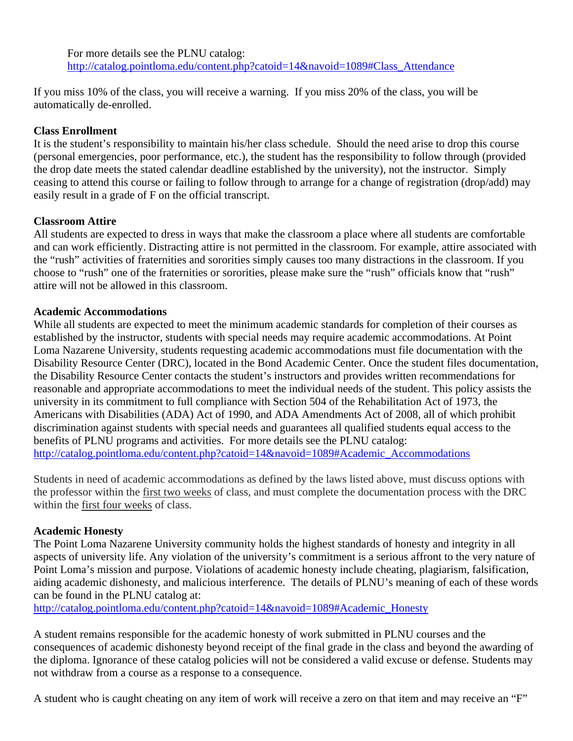For more details see the PLNU catalog: http://catalog.pointloma.edu/content.php?catoid=14&navoid=1089#Class\_Attendance

If you miss 10% of the class, you will receive a warning. If you miss 20% of the class, you will be automatically de-enrolled.

## **Class Enrollment**

It is the student's responsibility to maintain his/her class schedule. Should the need arise to drop this course (personal emergencies, poor performance, etc.), the student has the responsibility to follow through (provided the drop date meets the stated calendar deadline established by the university), not the instructor. Simply ceasing to attend this course or failing to follow through to arrange for a change of registration (drop/add) may easily result in a grade of F on the official transcript.

## **Classroom Attire**

All students are expected to dress in ways that make the classroom a place where all students are comfortable and can work efficiently. Distracting attire is not permitted in the classroom. For example, attire associated with the "rush" activities of fraternities and sororities simply causes too many distractions in the classroom. If you choose to "rush" one of the fraternities or sororities, please make sure the "rush" officials know that "rush" attire will not be allowed in this classroom.

## **Academic Accommodations**

While all students are expected to meet the minimum academic standards for completion of their courses as established by the instructor, students with special needs may require academic accommodations. At Point Loma Nazarene University, students requesting academic accommodations must file documentation with the Disability Resource Center (DRC), located in the Bond Academic Center. Once the student files documentation, the Disability Resource Center contacts the student's instructors and provides written recommendations for reasonable and appropriate accommodations to meet the individual needs of the student. This policy assists the university in its commitment to full compliance with Section 504 of the Rehabilitation Act of 1973, the Americans with Disabilities (ADA) Act of 1990, and ADA Amendments Act of 2008, all of which prohibit discrimination against students with special needs and guarantees all qualified students equal access to the benefits of PLNU programs and activities. For more details see the PLNU catalog: http://catalog.pointloma.edu/content.php?catoid=14&navoid=1089#Academic\_Accommodations

Students in need of academic accommodations as defined by the laws listed above, must discuss options with the professor within the first two weeks of class, and must complete the documentation process with the DRC within the first four weeks of class.

# **Academic Honesty**

The Point Loma Nazarene University community holds the highest standards of honesty and integrity in all aspects of university life. Any violation of the university's commitment is a serious affront to the very nature of Point Loma's mission and purpose. Violations of academic honesty include cheating, plagiarism, falsification, aiding academic dishonesty, and malicious interference. The details of PLNU's meaning of each of these words can be found in the PLNU catalog at:

http://catalog.pointloma.edu/content.php?catoid=14&navoid=1089#Academic\_Honesty

A student remains responsible for the academic honesty of work submitted in PLNU courses and the consequences of academic dishonesty beyond receipt of the final grade in the class and beyond the awarding of the diploma. Ignorance of these catalog policies will not be considered a valid excuse or defense. Students may not withdraw from a course as a response to a consequence.

A student who is caught cheating on any item of work will receive a zero on that item and may receive an "F"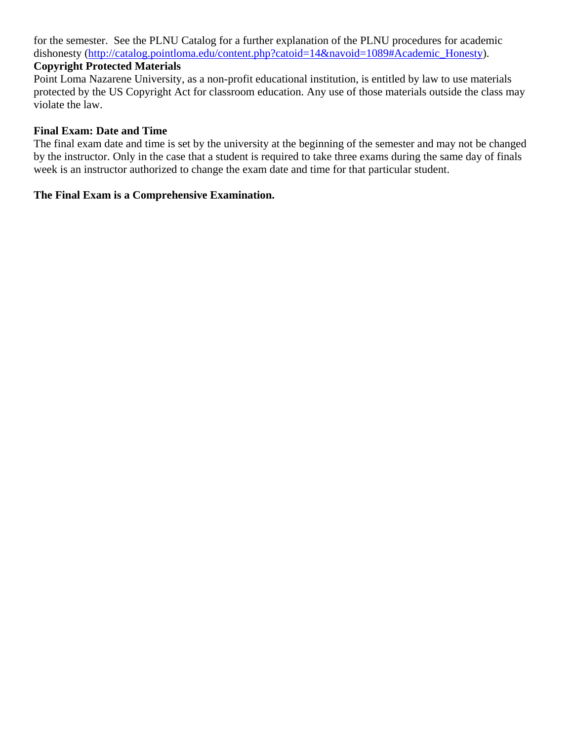for the semester. See the PLNU Catalog for a further explanation of the PLNU procedures for academic dishonesty (http://catalog.pointloma.edu/content.php?catoid=14&navoid=1089#Academic\_Honesty).

#### **Copyright Protected Materials**

Point Loma Nazarene University, as a non-profit educational institution, is entitled by law to use materials protected by the US Copyright Act for classroom education. Any use of those materials outside the class may violate the law.

#### **Final Exam: Date and Time**

The final exam date and time is set by the university at the beginning of the semester and may not be changed by the instructor. Only in the case that a student is required to take three exams during the same day of finals week is an instructor authorized to change the exam date and time for that particular student.

#### **The Final Exam is a Comprehensive Examination.**